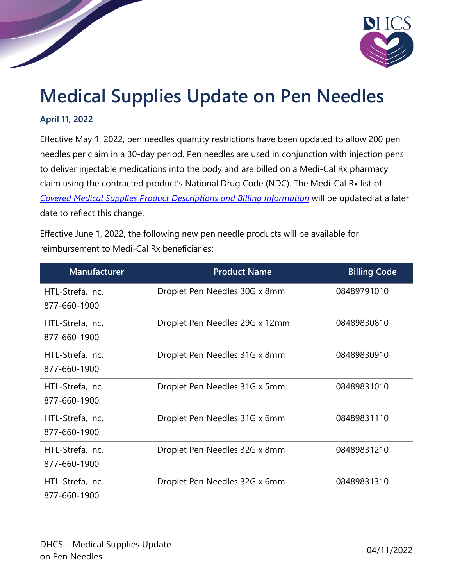

## **Medical Supplies Update on Pen Needles**

## **April 11, 2022**

Effective May 1, 2022, pen needles quantity restrictions have been updated to allow 200 pen needles per claim in a 30-day period. Pen needles are used in conjunction with injection pens to deliver injectable medications into the body and are billed on a Medi-Cal Rx pharmacy claim using the contracted product's National Drug Code (NDC). The Medi-Cal Rx list of *[Covered Medical Supplies Product Descriptions and Billing Information](https://medi-calrx.dhcs.ca.gov/cms/medicalrx/static-assets/documents/provider/forms-and-information/Covered_Medical_Supplies_Product_Descriptions_and_Billing_Information.xlsx)* will be updated at a later date to reflect this change.

Effective June 1, 2022, the following new pen needle products will be available for reimbursement to Medi-Cal Rx beneficiaries:

| <b>Manufacturer</b>              | <b>Product Name</b>            | <b>Billing Code</b> |
|----------------------------------|--------------------------------|---------------------|
| HTL-Strefa, Inc.<br>877-660-1900 | Droplet Pen Needles 30G x 8mm  | 08489791010         |
| HTL-Strefa, Inc.<br>877-660-1900 | Droplet Pen Needles 29G x 12mm | 08489830810         |
| HTL-Strefa, Inc.<br>877-660-1900 | Droplet Pen Needles 31G x 8mm  | 08489830910         |
| HTL-Strefa, Inc.<br>877-660-1900 | Droplet Pen Needles 31G x 5mm  | 08489831010         |
| HTL-Strefa, Inc.<br>877-660-1900 | Droplet Pen Needles 31G x 6mm  | 08489831110         |
| HTL-Strefa, Inc.<br>877-660-1900 | Droplet Pen Needles 32G x 8mm  | 08489831210         |
| HTL-Strefa, Inc.<br>877-660-1900 | Droplet Pen Needles 32G x 6mm  | 08489831310         |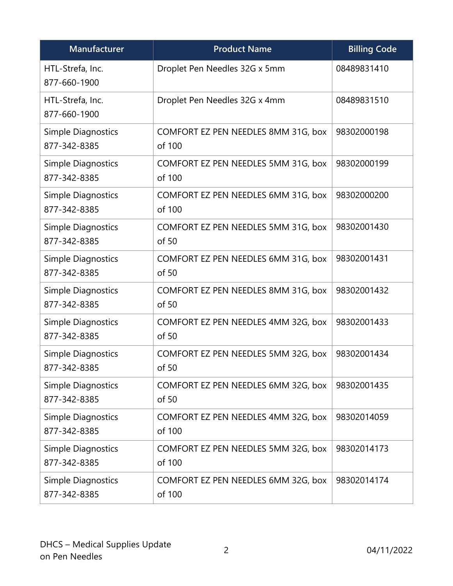| Manufacturer                              | <b>Product Name</b>                           | <b>Billing Code</b> |
|-------------------------------------------|-----------------------------------------------|---------------------|
| HTL-Strefa, Inc.<br>877-660-1900          | Droplet Pen Needles 32G x 5mm                 | 08489831410         |
| HTL-Strefa, Inc.<br>877-660-1900          | Droplet Pen Needles 32G x 4mm                 | 08489831510         |
| Simple Diagnostics<br>877-342-8385        | COMFORT EZ PEN NEEDLES 8MM 31G, box<br>of 100 | 98302000198         |
| Simple Diagnostics<br>877-342-8385        | COMFORT EZ PEN NEEDLES 5MM 31G, box<br>of 100 | 98302000199         |
| Simple Diagnostics<br>877-342-8385        | COMFORT EZ PEN NEEDLES 6MM 31G, box<br>of 100 | 98302000200         |
| <b>Simple Diagnostics</b><br>877-342-8385 | COMFORT EZ PEN NEEDLES 5MM 31G, box<br>of 50  | 98302001430         |
| Simple Diagnostics<br>877-342-8385        | COMFORT EZ PEN NEEDLES 6MM 31G, box<br>of 50  | 98302001431         |
| Simple Diagnostics<br>877-342-8385        | COMFORT EZ PEN NEEDLES 8MM 31G, box<br>of 50  | 98302001432         |
| Simple Diagnostics<br>877-342-8385        | COMFORT EZ PEN NEEDLES 4MM 32G, box<br>of 50  | 98302001433         |
| Simple Diagnostics<br>877-342-8385        | COMFORT EZ PEN NEEDLES 5MM 32G, box<br>of 50  | 98302001434         |
| <b>Simple Diagnostics</b><br>877-342-8385 | COMFORT EZ PEN NEEDLES 6MM 32G, box<br>of 50  | 98302001435         |
| Simple Diagnostics<br>877-342-8385        | COMFORT EZ PEN NEEDLES 4MM 32G, box<br>of 100 | 98302014059         |
| Simple Diagnostics<br>877-342-8385        | COMFORT EZ PEN NEEDLES 5MM 32G, box<br>of 100 | 98302014173         |
| Simple Diagnostics<br>877-342-8385        | COMFORT EZ PEN NEEDLES 6MM 32G, box<br>of 100 | 98302014174         |